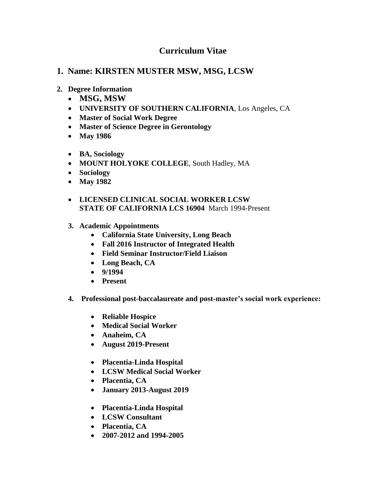## **Curriculum Vitae**

## **1. Name: KIRSTEN MUSTER MSW, MSG, LCSW**

- **2. Degree Information**
	- **MSG, MSW**
	- **UNIVERSITY OF SOUTHERN CALIFORNIA**, Los Angeles, CA
	- **Master of Social Work Degree**
	- **Master of Science Degree in Gerontology**
	- **May 1986**
	- **BA, Sociology**
	- **MOUNT HOLYOKE COLLEGE**, South Hadley, MA
	- **Sociology**
	- **May 1982**
	- **LICENSED CLINICAL SOCIAL WORKER LCSW STATE OF CALIFORNIA LCS 16904** March 1994-Present
	- **3. Academic Appointments**
		- **California State University, Long Beach**
		- **Fall 2016 Instructor of Integrated Health**
		- **Field Seminar Instructor/Field Liaison**
		- **Long Beach, CA**
		- **9/1994**
		- **Present**
	- **4. Professional post-baccalaureate and post-master's social work experience:**
		- **Reliable Hospice**
		- **Medical Social Worker**
		- **Anaheim, CA**
		- **August 2019-Present**
		- **Placentia-Linda Hospital**
		- **LCSW Medical Social Worker**
		- **Placentia, CA**
		- **January 2013-August 2019**
		- **Placentia-Linda Hospital**
		- **LCSW Consultant**
		- **Placentia, CA**
		- **2007-2012 and 1994-2005**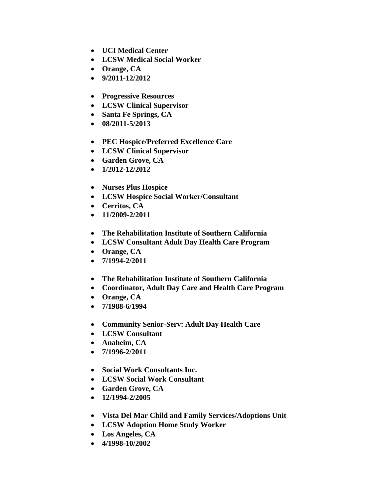- **UCI Medical Center**
- **LCSW Medical Social Worker**
- **Orange, CA**
- **9/2011-12/2012**
- **Progressive Resources**
- **LCSW Clinical Supervisor**
- **Santa Fe Springs, CA**
- **08/2011-5/2013**
- **PEC Hospice/Preferred Excellence Care**
- **LCSW Clinical Supervisor**
- **Garden Grove, CA**
- **1/2012-12/2012**
- **Nurses Plus Hospice**
- **LCSW Hospice Social Worker/Consultant**
- **Cerritos, CA**
- **11/2009-2/2011**
- **The Rehabilitation Institute of Southern California**
- **LCSW Consultant Adult Day Health Care Program**
- **Orange, CA**
- **7/1994-2/2011**
- **The Rehabilitation Institute of Southern California**
- **Coordinator, Adult Day Care and Health Care Program**
- **Orange, CA**
- **7/1988-6/1994**
- **Community Senior-Serv: Adult Day Health Care**
- **LCSW Consultant**
- **Anaheim, CA**
- **7/1996-2/2011**
- **Social Work Consultants Inc.**
- **LCSW Social Work Consultant**
- **Garden Grove, CA**
- **12/1994-2/2005**
- **Vista Del Mar Child and Family Services/Adoptions Unit**
- **LCSW Adoption Home Study Worker**
- **Los Angeles, CA**
- **4/1998-10/2002**